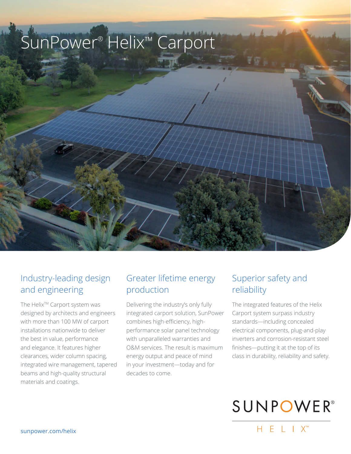

#### Industry-leading design and engineering

The Helix<sup>™</sup> Carport system was designed by architects and engineers with more than 100 MW of carport installations nationwide to deliver the best in value, performance and elegance. It features higher clearances, wider column spacing, integrated wire management, tapered beams and high-quality structural materials and coatings.

### Greater lifetime energy production

Delivering the industry's only fully integrated carport solution, SunPower combines high-efficiency, highperformance solar panel technology with unparalleled warranties and O&M services. The result is maximum energy output and peace of mind in your investment—today and for decades to come.

## Superior safety and reliability

The integrated features of the Helix Carport system surpass industry standards—including concealed electrical components, plug-and-play inverters and corrosion-resistant steel finishes—putting it at the top of its class in durability, reliability and safety.

# **SUNPOWER®**

HELIX<sup>™</sup>